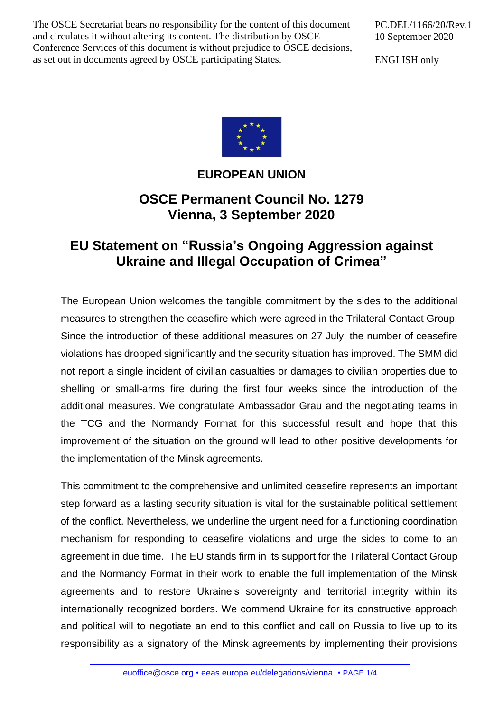The OSCE Secretariat bears no responsibility for the content of this document and circulates it without altering its content. The distribution by OSCE Conference Services of this document is without prejudice to OSCE decisions, as set out in documents agreed by OSCE participating States.

PC.DEL/1166/20/Rev.1 10 September 2020

ENGLISH only



## **EUROPEAN UNION**

## **OSCE Permanent Council No. 1279 Vienna, 3 September 2020**

## **EU Statement on "Russia's Ongoing Aggression against Ukraine and Illegal Occupation of Crimea"**

The European Union welcomes the tangible commitment by the sides to the additional measures to strengthen the ceasefire which were agreed in the Trilateral Contact Group. Since the introduction of these additional measures on 27 July, the number of ceasefire violations has dropped significantly and the security situation has improved. The SMM did not report a single incident of civilian casualties or damages to civilian properties due to shelling or small-arms fire during the first four weeks since the introduction of the additional measures. We congratulate Ambassador Grau and the negotiating teams in the TCG and the Normandy Format for this successful result and hope that this improvement of the situation on the ground will lead to other positive developments for the implementation of the Minsk agreements.

This commitment to the comprehensive and unlimited ceasefire represents an important step forward as a lasting security situation is vital for the sustainable political settlement of the conflict. Nevertheless, we underline the urgent need for a functioning coordination mechanism for responding to ceasefire violations and urge the sides to come to an agreement in due time. The EU stands firm in its support for the Trilateral Contact Group and the Normandy Format in their work to enable the full implementation of the Minsk agreements and to restore Ukraine's sovereignty and territorial integrity within its internationally recognized borders. We commend Ukraine for its constructive approach and political will to negotiate an end to this conflict and call on Russia to live up to its responsibility as a signatory of the Minsk agreements by implementing their provisions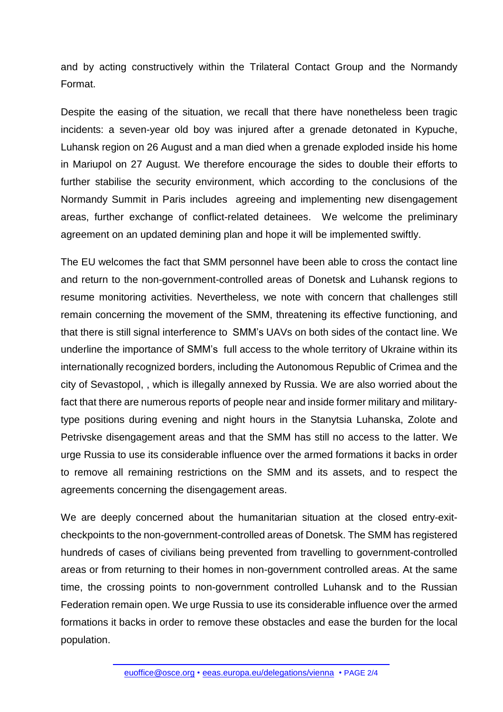and by acting constructively within the Trilateral Contact Group and the Normandy Format.

Despite the easing of the situation, we recall that there have nonetheless been tragic incidents: a seven-year old boy was injured after a grenade detonated in Kypuche, Luhansk region on 26 August and a man died when a grenade exploded inside his home in Mariupol on 27 August. We therefore encourage the sides to double their efforts to further stabilise the security environment, which according to the conclusions of the Normandy Summit in Paris includes agreeing and implementing new disengagement areas, further exchange of conflict-related detainees. We welcome the preliminary agreement on an updated demining plan and hope it will be implemented swiftly.

The EU welcomes the fact that SMM personnel have been able to cross the contact line and return to the non-government-controlled areas of Donetsk and Luhansk regions to resume monitoring activities. Nevertheless, we note with concern that challenges still remain concerning the movement of the SMM, threatening its effective functioning, and that there is still signal interference to SMM's UAVs on both sides of the contact line. We underline the importance of SMM's full access to the whole territory of Ukraine within its internationally recognized borders, including the Autonomous Republic of Crimea and the city of Sevastopol, , which is illegally annexed by Russia. We are also worried about the fact that there are numerous reports of people near and inside former military and militarytype positions during evening and night hours in the Stanytsia Luhanska, Zolote and Petrivske disengagement areas and that the SMM has still no access to the latter. We urge Russia to use its considerable influence over the armed formations it backs in order to remove all remaining restrictions on the SMM and its assets, and to respect the agreements concerning the disengagement areas.

We are deeply concerned about the humanitarian situation at the closed entry-exitcheckpoints to the non-government-controlled areas of Donetsk. The SMM has registered hundreds of cases of civilians being prevented from travelling to government-controlled areas or from returning to their homes in non-government controlled areas. At the same time, the crossing points to non-government controlled Luhansk and to the Russian Federation remain open. We urge Russia to use its considerable influence over the armed formations it backs in order to remove these obstacles and ease the burden for the local population.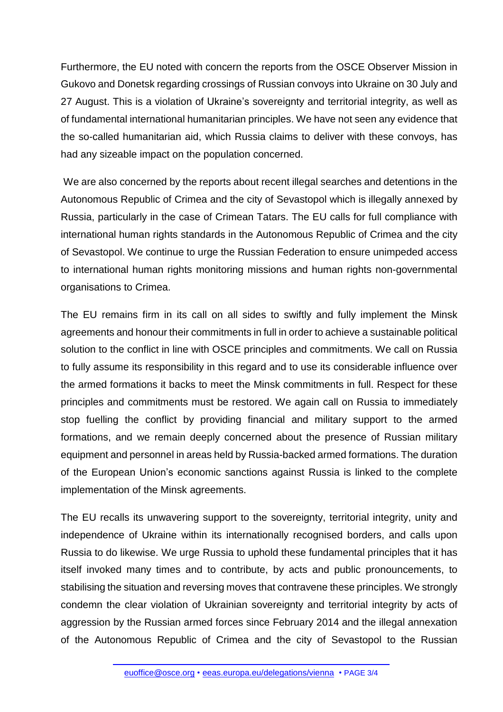Furthermore, the EU noted with concern the reports from the OSCE Observer Mission in Gukovo and Donetsk regarding crossings of Russian convoys into Ukraine on 30 July and 27 August. This is a violation of Ukraine's sovereignty and territorial integrity, as well as of fundamental international humanitarian principles. We have not seen any evidence that the so-called humanitarian aid, which Russia claims to deliver with these convoys, has had any sizeable impact on the population concerned.

We are also concerned by the reports about recent illegal searches and detentions in the Autonomous Republic of Crimea and the city of Sevastopol which is illegally annexed by Russia, particularly in the case of Crimean Tatars. The EU calls for full compliance with international human rights standards in the Autonomous Republic of Crimea and the city of Sevastopol. We continue to urge the Russian Federation to ensure unimpeded access to international human rights monitoring missions and human rights non-governmental organisations to Crimea.

The EU remains firm in its call on all sides to swiftly and fully implement the Minsk agreements and honour their commitments in full in order to achieve a sustainable political solution to the conflict in line with OSCE principles and commitments. We call on Russia to fully assume its responsibility in this regard and to use its considerable influence over the armed formations it backs to meet the Minsk commitments in full. Respect for these principles and commitments must be restored. We again call on Russia to immediately stop fuelling the conflict by providing financial and military support to the armed formations, and we remain deeply concerned about the presence of Russian military equipment and personnel in areas held by Russia-backed armed formations. The duration of the European Union's economic sanctions against Russia is linked to the complete implementation of the Minsk agreements.

The EU recalls its unwavering support to the sovereignty, territorial integrity, unity and independence of Ukraine within its internationally recognised borders, and calls upon Russia to do likewise. We urge Russia to uphold these fundamental principles that it has itself invoked many times and to contribute, by acts and public pronouncements, to stabilising the situation and reversing moves that contravene these principles. We strongly condemn the clear violation of Ukrainian sovereignty and territorial integrity by acts of aggression by the Russian armed forces since February 2014 and the illegal annexation of the Autonomous Republic of Crimea and the city of Sevastopol to the Russian